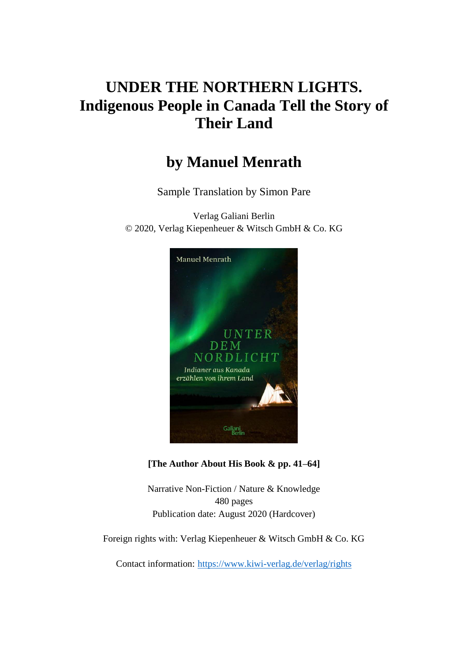# **UNDER THE NORTHERN LIGHTS. Indigenous People in Canada Tell the Story of Their Land**

# **by Manuel Menrath**

Sample Translation by Simon Pare

Verlag Galiani Berlin © 2020, Verlag Kiepenheuer & Witsch GmbH & Co. KG



**[The Author About His Book & pp. 41–64]**

Narrative Non-Fiction / Nature & Knowledge 480 pages Publication date: August 2020 (Hardcover)

Foreign rights with: Verlag Kiepenheuer & Witsch GmbH & Co. KG

Contact information: <https://www.kiwi-verlag.de/verlag/rights>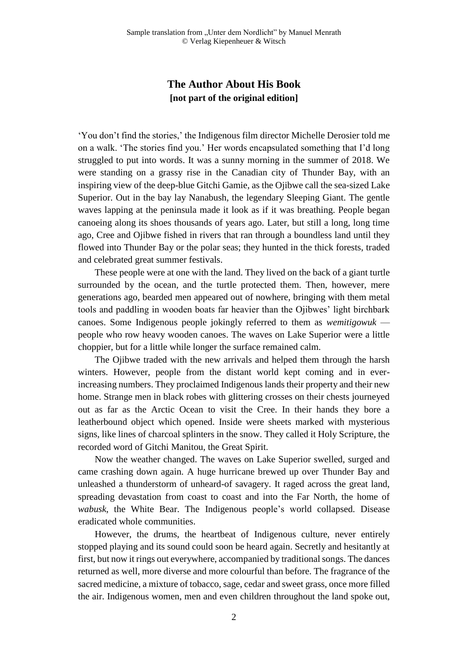## **The Author About His Book [not part of the original edition]**

'You don't find the stories,' the Indigenous film director Michelle Derosier told me on a walk. 'The stories find you.' Her words encapsulated something that I'd long struggled to put into words. It was a sunny morning in the summer of 2018. We were standing on a grassy rise in the Canadian city of Thunder Bay, with an inspiring view of the deep-blue Gitchi Gamie, as the Ojibwe call the sea-sized Lake Superior. Out in the bay lay Nanabush, the legendary Sleeping Giant. The gentle waves lapping at the peninsula made it look as if it was breathing. People began canoeing along its shoes thousands of years ago. Later, but still a long, long time ago, Cree and Ojibwe fished in rivers that ran through a boundless land until they flowed into Thunder Bay or the polar seas; they hunted in the thick forests, traded and celebrated great summer festivals.

These people were at one with the land. They lived on the back of a giant turtle surrounded by the ocean, and the turtle protected them. Then, however, mere generations ago, bearded men appeared out of nowhere, bringing with them metal tools and paddling in wooden boats far heavier than the Ojibwes' light birchbark canoes. Some Indigenous people jokingly referred to them as *wemitigowuk* people who row heavy wooden canoes. The waves on Lake Superior were a little choppier, but for a little while longer the surface remained calm.

The Ojibwe traded with the new arrivals and helped them through the harsh winters. However, people from the distant world kept coming and in everincreasing numbers. They proclaimed Indigenous lands their property and their new home. Strange men in black robes with glittering crosses on their chests journeyed out as far as the Arctic Ocean to visit the Cree. In their hands they bore a leatherbound object which opened. Inside were sheets marked with mysterious signs, like lines of charcoal splinters in the snow. They called it Holy Scripture, the recorded word of Gitchi Manitou, the Great Spirit.

Now the weather changed. The waves on Lake Superior swelled, surged and came crashing down again. A huge hurricane brewed up over Thunder Bay and unleashed a thunderstorm of unheard-of savagery. It raged across the great land, spreading devastation from coast to coast and into the Far North, the home of *wabusk*, the White Bear. The Indigenous people's world collapsed. Disease eradicated whole communities.

However, the drums, the heartbeat of Indigenous culture, never entirely stopped playing and its sound could soon be heard again. Secretly and hesitantly at first, but now it rings out everywhere, accompanied by traditional songs. The dances returned as well, more diverse and more colourful than before. The fragrance of the sacred medicine, a mixture of tobacco, sage, cedar and sweet grass, once more filled the air. Indigenous women, men and even children throughout the land spoke out,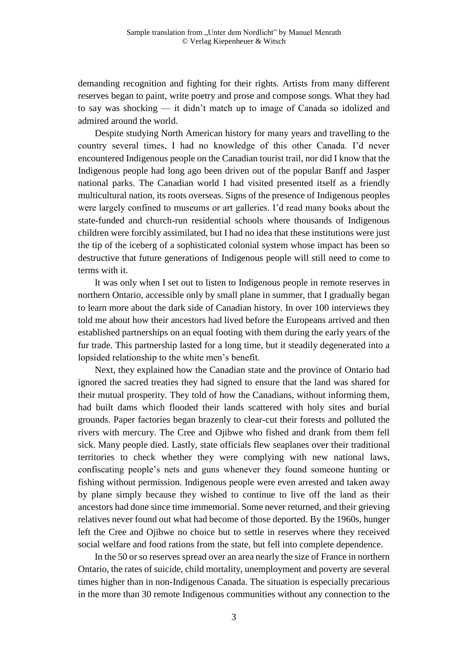demanding recognition and fighting for their rights. Artists from many different reserves began to paint, write poetry and prose and compose songs. What they had to say was shocking — it didn't match up to image of Canada so idolized and admired around the world.

Despite studying North American history for many years and travelling to the country several times, I had no knowledge of this other Canada. I'd never encountered Indigenous people on the Canadian tourist trail, nor did I know that the Indigenous people had long ago been driven out of the popular Banff and Jasper national parks. The Canadian world I had visited presented itself as a friendly multicultural nation, its roots overseas. Signs of the presence of Indigenous peoples were largely confined to museums or art galleries. I'd read many books about the state-funded and church-run residential schools where thousands of Indigenous children were forcibly assimilated, but I had no idea that these institutions were just the tip of the iceberg of a sophisticated colonial system whose impact has been so destructive that future generations of Indigenous people will still need to come to terms with it.

It was only when I set out to listen to Indigenous people in remote reserves in northern Ontario, accessible only by small plane in summer, that I gradually began to learn more about the dark side of Canadian history. In over 100 interviews they told me about how their ancestors had lived before the Europeans arrived and then established partnerships on an equal footing with them during the early years of the fur trade. This partnership lasted for a long time, but it steadily degenerated into a lopsided relationship to the white men's benefit.

Next, they explained how the Canadian state and the province of Ontario had ignored the sacred treaties they had signed to ensure that the land was shared for their mutual prosperity. They told of how the Canadians, without informing them, had built dams which flooded their lands scattered with holy sites and burial grounds. Paper factories began brazenly to clear-cut their forests and polluted the rivers with mercury. The Cree and Ojibwe who fished and drank from them fell sick. Many people died. Lastly, state officials flew seaplanes over their traditional territories to check whether they were complying with new national laws, confiscating people's nets and guns whenever they found someone hunting or fishing without permission. Indigenous people were even arrested and taken away by plane simply because they wished to continue to live off the land as their ancestors had done since time immemorial. Some never returned, and their grieving relatives never found out what had become of those deported. By the 1960s, hunger left the Cree and Ojibwe no choice but to settle in reserves where they received social welfare and food rations from the state, but fell into complete dependence.

In the 50 or so reserves spread over an area nearly the size of France in northern Ontario, the rates of suicide, child mortality, unemployment and poverty are several times higher than in non-Indigenous Canada. The situation is especially precarious in the more than 30 remote Indigenous communities without any connection to the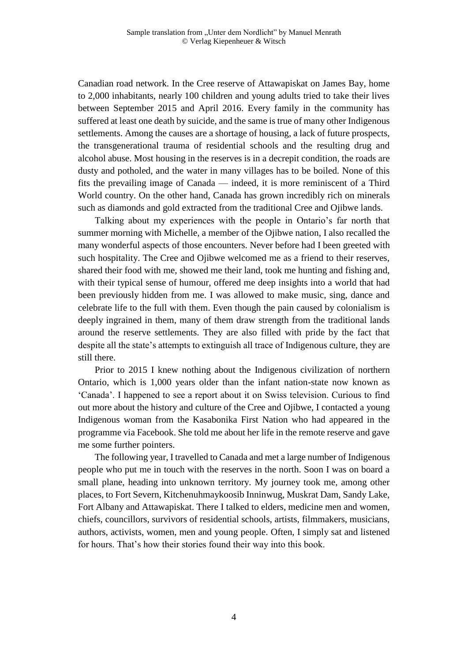Canadian road network. In the Cree reserve of Attawapiskat on James Bay, home to 2,000 inhabitants, nearly 100 children and young adults tried to take their lives between September 2015 and April 2016. Every family in the community has suffered at least one death by suicide, and the same is true of many other Indigenous settlements. Among the causes are a shortage of housing, a lack of future prospects, the transgenerational trauma of residential schools and the resulting drug and alcohol abuse. Most housing in the reserves is in a decrepit condition, the roads are dusty and potholed, and the water in many villages has to be boiled. None of this fits the prevailing image of Canada — indeed, it is more reminiscent of a Third World country. On the other hand, Canada has grown incredibly rich on minerals such as diamonds and gold extracted from the traditional Cree and Ojibwe lands.

Talking about my experiences with the people in Ontario's far north that summer morning with Michelle, a member of the Ojibwe nation, I also recalled the many wonderful aspects of those encounters. Never before had I been greeted with such hospitality. The Cree and Ojibwe welcomed me as a friend to their reserves, shared their food with me, showed me their land, took me hunting and fishing and, with their typical sense of humour, offered me deep insights into a world that had been previously hidden from me. I was allowed to make music, sing, dance and celebrate life to the full with them. Even though the pain caused by colonialism is deeply ingrained in them, many of them draw strength from the traditional lands around the reserve settlements. They are also filled with pride by the fact that despite all the state's attempts to extinguish all trace of Indigenous culture, they are still there.

Prior to 2015 I knew nothing about the Indigenous civilization of northern Ontario, which is 1,000 years older than the infant nation-state now known as 'Canada'. I happened to see a report about it on Swiss television. Curious to find out more about the history and culture of the Cree and Ojibwe, I contacted a young Indigenous woman from the Kasabonika First Nation who had appeared in the programme via Facebook. She told me about her life in the remote reserve and gave me some further pointers.

The following year, I travelled to Canada and met a large number of Indigenous people who put me in touch with the reserves in the north. Soon I was on board a small plane, heading into unknown territory. My journey took me, among other places, to Fort Severn, Kitchenuhmaykoosib Inninwug, Muskrat Dam, Sandy Lake, Fort Albany and Attawapiskat. There I talked to elders, medicine men and women, chiefs, councillors, survivors of residential schools, artists, filmmakers, musicians, authors, activists, women, men and young people. Often, I simply sat and listened for hours. That's how their stories found their way into this book.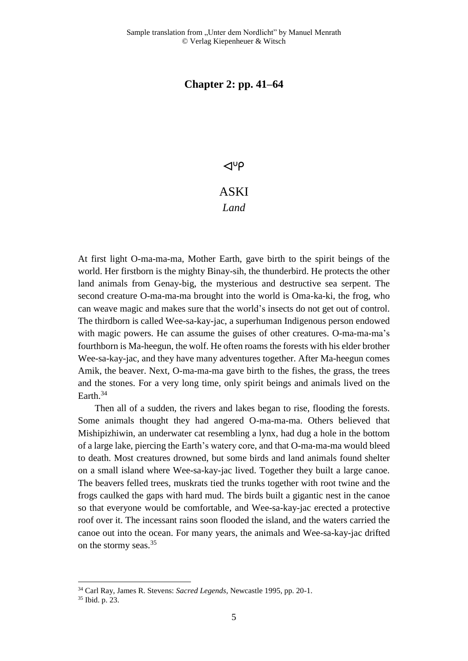### **Chapter 2: pp. 41–64**

#### $\triangleleft^{\circ}P$

## ASKI *Land*

At first light O-ma-ma-ma, Mother Earth, gave birth to the spirit beings of the world. Her firstborn is the mighty Binay-sih, the thunderbird. He protects the other land animals from Genay-big, the mysterious and destructive sea serpent. The second creature O-ma-ma-ma brought into the world is Oma-ka-ki, the frog, who can weave magic and makes sure that the world's insects do not get out of control. The thirdborn is called Wee-sa-kay-jac, a superhuman Indigenous person endowed with magic powers. He can assume the guises of other creatures. O-ma-ma-ma's fourthborn is Ma-heegun, the wolf. He often roams the forests with his elder brother Wee-sa-kay-jac, and they have many adventures together. After Ma-heegun comes Amik, the beaver. Next, O-ma-ma-ma gave birth to the fishes, the grass, the trees and the stones. For a very long time, only spirit beings and animals lived on the Earth.<sup>34</sup>

Then all of a sudden, the rivers and lakes began to rise, flooding the forests. Some animals thought they had angered O-ma-ma-ma. Others believed that Mishipizhiwin, an underwater cat resembling a lynx, had dug a hole in the bottom of a large lake, piercing the Earth's watery core, and that O-ma-ma-ma would bleed to death. Most creatures drowned, but some birds and land animals found shelter on a small island where Wee-sa-kay-jac lived. Together they built a large canoe. The beavers felled trees, muskrats tied the trunks together with root twine and the frogs caulked the gaps with hard mud. The birds built a gigantic nest in the canoe so that everyone would be comfortable, and Wee-sa-kay-jac erected a protective roof over it. The incessant rains soon flooded the island, and the waters carried the canoe out into the ocean. For many years, the animals and Wee-sa-kay-jac drifted on the stormy seas.<sup>35</sup>

<sup>34</sup> Carl Ray, James R. Stevens: *Sacred Legends*, Newcastle 1995, pp. 20-1.

<sup>35</sup> Ibid. p. 23.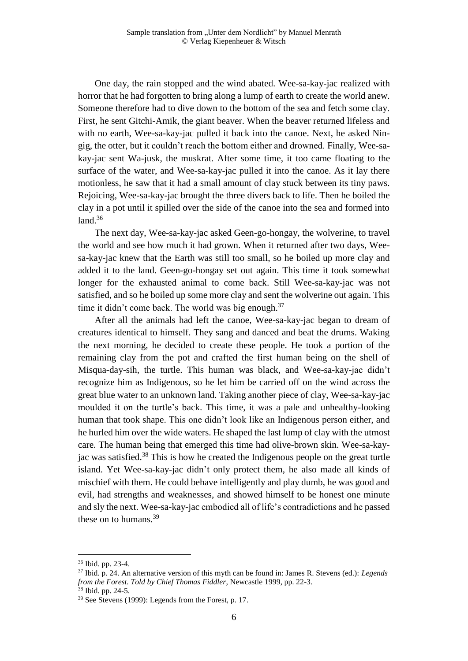One day, the rain stopped and the wind abated. Wee-sa-kay-jac realized with horror that he had forgotten to bring along a lump of earth to create the world anew. Someone therefore had to dive down to the bottom of the sea and fetch some clay. First, he sent Gitchi-Amik, the giant beaver. When the beaver returned lifeless and with no earth, Wee-sa-kay-jac pulled it back into the canoe. Next, he asked Ningig, the otter, but it couldn't reach the bottom either and drowned. Finally, Wee-sakay-jac sent Wa-jusk, the muskrat. After some time, it too came floating to the surface of the water, and Wee-sa-kay-jac pulled it into the canoe. As it lay there motionless, he saw that it had a small amount of clay stuck between its tiny paws. Rejoicing, Wee-sa-kay-jac brought the three divers back to life. Then he boiled the clay in a pot until it spilled over the side of the canoe into the sea and formed into land. $36$ 

The next day, Wee-sa-kay-jac asked Geen-go-hongay, the wolverine, to travel the world and see how much it had grown. When it returned after two days, Weesa-kay-jac knew that the Earth was still too small, so he boiled up more clay and added it to the land. Geen-go-hongay set out again. This time it took somewhat longer for the exhausted animal to come back. Still Wee-sa-kay-jac was not satisfied, and so he boiled up some more clay and sent the wolverine out again. This time it didn't come back. The world was big enough. $37$ 

After all the animals had left the canoe, Wee-sa-kay-jac began to dream of creatures identical to himself. They sang and danced and beat the drums. Waking the next morning, he decided to create these people. He took a portion of the remaining clay from the pot and crafted the first human being on the shell of Misqua-day-sih, the turtle. This human was black, and Wee-sa-kay-jac didn't recognize him as Indigenous, so he let him be carried off on the wind across the great blue water to an unknown land. Taking another piece of clay, Wee-sa-kay-jac moulded it on the turtle's back. This time, it was a pale and unhealthy-looking human that took shape. This one didn't look like an Indigenous person either, and he hurled him over the wide waters. He shaped the last lump of clay with the utmost care. The human being that emerged this time had olive-brown skin. Wee-sa-kayjac was satisfied.<sup>38</sup> This is how he created the Indigenous people on the great turtle island. Yet Wee-sa-kay-jac didn't only protect them, he also made all kinds of mischief with them. He could behave intelligently and play dumb, he was good and evil, had strengths and weaknesses, and showed himself to be honest one minute and sly the next. Wee-sa-kay-jac embodied all of life's contradictions and he passed these on to humans.<sup>39</sup>

a<br>B

<sup>36</sup> Ibid. pp. 23-4.

<sup>37</sup> Ibid. p. 24. An alternative version of this myth can be found in: James R. Stevens (ed.): *Legends from the Forest. Told by Chief Thomas Fiddler*, Newcastle 1999, pp. 22-3.

 $38$  Ibid. pp. 24-5.

<sup>39</sup> See Stevens (1999): Legends from the Forest, p. 17.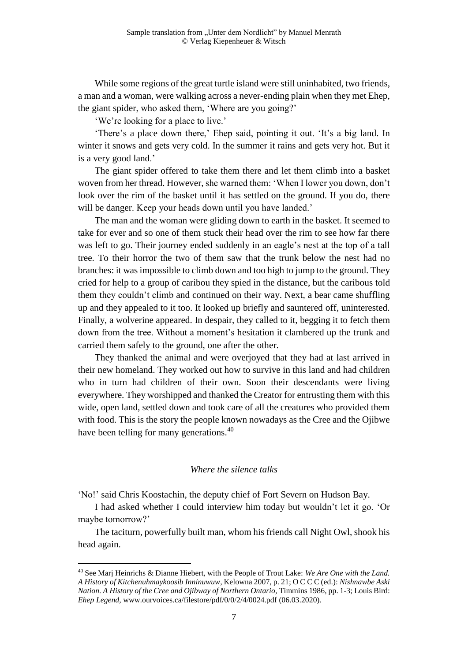While some regions of the great turtle island were still uninhabited, two friends, a man and a woman, were walking across a never-ending plain when they met Ehep, the giant spider, who asked them, 'Where are you going?'

'We're looking for a place to live.'

'There's a place down there,' Ehep said, pointing it out. 'It's a big land. In winter it snows and gets very cold. In the summer it rains and gets very hot. But it is a very good land.'

The giant spider offered to take them there and let them climb into a basket woven from her thread. However, she warned them: 'When I lower you down, don't look over the rim of the basket until it has settled on the ground. If you do, there will be danger. Keep your heads down until you have landed.'

The man and the woman were gliding down to earth in the basket. It seemed to take for ever and so one of them stuck their head over the rim to see how far there was left to go. Their journey ended suddenly in an eagle's nest at the top of a tall tree. To their horror the two of them saw that the trunk below the nest had no branches: it was impossible to climb down and too high to jump to the ground. They cried for help to a group of caribou they spied in the distance, but the caribous told them they couldn't climb and continued on their way. Next, a bear came shuffling up and they appealed to it too. It looked up briefly and sauntered off, uninterested. Finally, a wolverine appeared. In despair, they called to it, begging it to fetch them down from the tree. Without a moment's hesitation it clambered up the trunk and carried them safely to the ground, one after the other.

They thanked the animal and were overjoyed that they had at last arrived in their new homeland. They worked out how to survive in this land and had children who in turn had children of their own. Soon their descendants were living everywhere. They worshipped and thanked the Creator for entrusting them with this wide, open land, settled down and took care of all the creatures who provided them with food. This is the story the people known nowadays as the Cree and the Ojibwe have been telling for many generations.<sup>40</sup>

#### *Where the silence talks*

'No!' said Chris Koostachin, the deputy chief of Fort Severn on Hudson Bay.

a<br>B

I had asked whether I could interview him today but wouldn't let it go. 'Or maybe tomorrow?'

The taciturn, powerfully built man, whom his friends call Night Owl, shook his head again.

<sup>40</sup> See Marj Heinrichs & Dianne Hiebert, with the People of Trout Lake: *We Are One with the Land. A History of Kitchenuhmaykoosib Inninuwuw*, Kelowna 2007, p. 21; O C C C (ed.): *Nishnawbe Aski Nation. A History of the Cree and Ojibway of Northern Ontario,* Timmins 1986, pp. 1-3; Louis Bird: *Ehep Legend*, www.ourvoices.ca/filestore/pdf/0/0/2/4/0024.pdf (06.03.2020).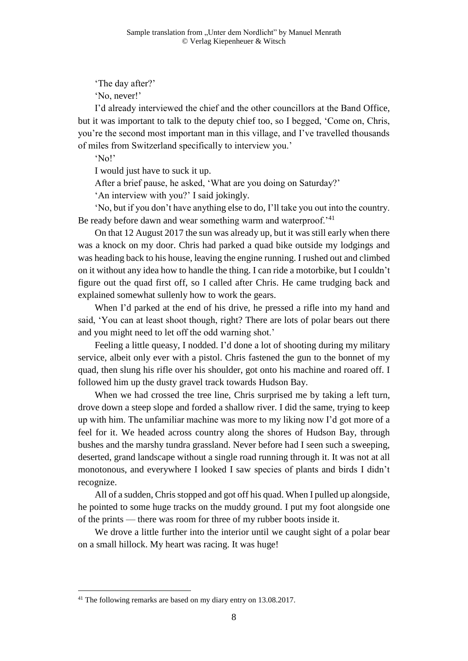'The day after?'

'No, never!'

I'd already interviewed the chief and the other councillors at the Band Office, but it was important to talk to the deputy chief too, so I begged, 'Come on, Chris, you're the second most important man in this village, and I've travelled thousands of miles from Switzerland specifically to interview you.'

'No!'

I would just have to suck it up.

After a brief pause, he asked, 'What are you doing on Saturday?'

'An interview with you?' I said jokingly.

'No, but if you don't have anything else to do, I'll take you out into the country. Be ready before dawn and wear something warm and waterproof.<sup>'41</sup>

On that 12 August 2017 the sun was already up, but it was still early when there was a knock on my door. Chris had parked a quad bike outside my lodgings and was heading back to his house, leaving the engine running. I rushed out and climbed on it without any idea how to handle the thing. I can ride a motorbike, but I couldn't figure out the quad first off, so I called after Chris. He came trudging back and explained somewhat sullenly how to work the gears.

When I'd parked at the end of his drive, he pressed a rifle into my hand and said, 'You can at least shoot though, right? There are lots of polar bears out there and you might need to let off the odd warning shot.'

Feeling a little queasy, I nodded. I'd done a lot of shooting during my military service, albeit only ever with a pistol. Chris fastened the gun to the bonnet of my quad, then slung his rifle over his shoulder, got onto his machine and roared off. I followed him up the dusty gravel track towards Hudson Bay.

When we had crossed the tree line, Chris surprised me by taking a left turn, drove down a steep slope and forded a shallow river. I did the same, trying to keep up with him. The unfamiliar machine was more to my liking now I'd got more of a feel for it. We headed across country along the shores of Hudson Bay, through bushes and the marshy tundra grassland. Never before had I seen such a sweeping, deserted, grand landscape without a single road running through it. It was not at all monotonous, and everywhere I looked I saw species of plants and birds I didn't recognize.

All of a sudden, Chris stopped and got off his quad. When I pulled up alongside, he pointed to some huge tracks on the muddy ground. I put my foot alongside one of the prints — there was room for three of my rubber boots inside it.

We drove a little further into the interior until we caught sight of a polar bear on a small hillock. My heart was racing. It was huge!

a<br>B

<sup>&</sup>lt;sup>41</sup> The following remarks are based on my diary entry on 13.08.2017.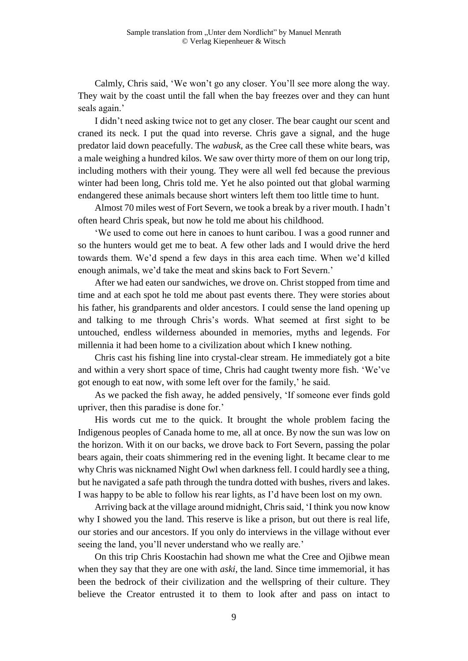Calmly, Chris said, 'We won't go any closer. You'll see more along the way. They wait by the coast until the fall when the bay freezes over and they can hunt seals again.'

I didn't need asking twice not to get any closer. The bear caught our scent and craned its neck. I put the quad into reverse. Chris gave a signal, and the huge predator laid down peacefully. The *wabusk*, as the Cree call these white bears, was a male weighing a hundred kilos. We saw over thirty more of them on our long trip, including mothers with their young. They were all well fed because the previous winter had been long, Chris told me. Yet he also pointed out that global warming endangered these animals because short winters left them too little time to hunt.

Almost 70 miles west of Fort Severn, we took a break by a river mouth. I hadn't often heard Chris speak, but now he told me about his childhood.

'We used to come out here in canoes to hunt caribou. I was a good runner and so the hunters would get me to beat. A few other lads and I would drive the herd towards them. We'd spend a few days in this area each time. When we'd killed enough animals, we'd take the meat and skins back to Fort Severn.'

After we had eaten our sandwiches, we drove on. Christ stopped from time and time and at each spot he told me about past events there. They were stories about his father, his grandparents and older ancestors. I could sense the land opening up and talking to me through Chris's words. What seemed at first sight to be untouched, endless wilderness abounded in memories, myths and legends. For millennia it had been home to a civilization about which I knew nothing.

Chris cast his fishing line into crystal-clear stream. He immediately got a bite and within a very short space of time, Chris had caught twenty more fish. 'We've got enough to eat now, with some left over for the family,' he said.

As we packed the fish away, he added pensively, 'If someone ever finds gold upriver, then this paradise is done for.'

His words cut me to the quick. It brought the whole problem facing the Indigenous peoples of Canada home to me, all at once. By now the sun was low on the horizon. With it on our backs, we drove back to Fort Severn, passing the polar bears again, their coats shimmering red in the evening light. It became clear to me why Chris was nicknamed Night Owl when darkness fell. I could hardly see a thing, but he navigated a safe path through the tundra dotted with bushes, rivers and lakes. I was happy to be able to follow his rear lights, as I'd have been lost on my own.

Arriving back at the village around midnight, Chris said, 'I think you now know why I showed you the land. This reserve is like a prison, but out there is real life, our stories and our ancestors. If you only do interviews in the village without ever seeing the land, you'll never understand who we really are.'

On this trip Chris Koostachin had shown me what the Cree and Ojibwe mean when they say that they are one with *aski*, the land. Since time immemorial, it has been the bedrock of their civilization and the wellspring of their culture. They believe the Creator entrusted it to them to look after and pass on intact to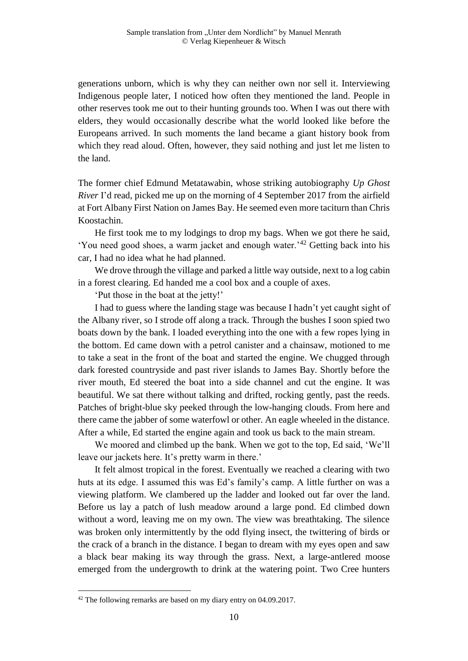generations unborn, which is why they can neither own nor sell it. Interviewing Indigenous people later, I noticed how often they mentioned the land. People in other reserves took me out to their hunting grounds too. When I was out there with elders, they would occasionally describe what the world looked like before the Europeans arrived. In such moments the land became a giant history book from which they read aloud. Often, however, they said nothing and just let me listen to the land.

The former chief Edmund Metatawabin, whose striking autobiography *Up Ghost River* I'd read, picked me up on the morning of 4 September 2017 from the airfield at Fort Albany First Nation on James Bay. He seemed even more taciturn than Chris Koostachin.

He first took me to my lodgings to drop my bags. When we got there he said, 'You need good shoes, a warm jacket and enough water.'<sup>42</sup> Getting back into his car, I had no idea what he had planned.

We drove through the village and parked a little way outside, next to a log cabin in a forest clearing. Ed handed me a cool box and a couple of axes.

'Put those in the boat at the jetty!'

I had to guess where the landing stage was because I hadn't yet caught sight of the Albany river, so I strode off along a track. Through the bushes I soon spied two boats down by the bank. I loaded everything into the one with a few ropes lying in the bottom. Ed came down with a petrol canister and a chainsaw, motioned to me to take a seat in the front of the boat and started the engine. We chugged through dark forested countryside and past river islands to James Bay. Shortly before the river mouth, Ed steered the boat into a side channel and cut the engine. It was beautiful. We sat there without talking and drifted, rocking gently, past the reeds. Patches of bright-blue sky peeked through the low-hanging clouds. From here and there came the jabber of some waterfowl or other. An eagle wheeled in the distance. After a while, Ed started the engine again and took us back to the main stream.

We moored and climbed up the bank. When we got to the top, Ed said, 'We'll leave our jackets here. It's pretty warm in there.'

It felt almost tropical in the forest. Eventually we reached a clearing with two huts at its edge. I assumed this was Ed's family's camp. A little further on was a viewing platform. We clambered up the ladder and looked out far over the land. Before us lay a patch of lush meadow around a large pond. Ed climbed down without a word, leaving me on my own. The view was breathtaking. The silence was broken only intermittently by the odd flying insect, the twittering of birds or the crack of a branch in the distance. I began to dream with my eyes open and saw a black bear making its way through the grass. Next, a large-antlered moose emerged from the undergrowth to drink at the watering point. Two Cree hunters

a<br>B

 $42$  The following remarks are based on my diary entry on 04.09.2017.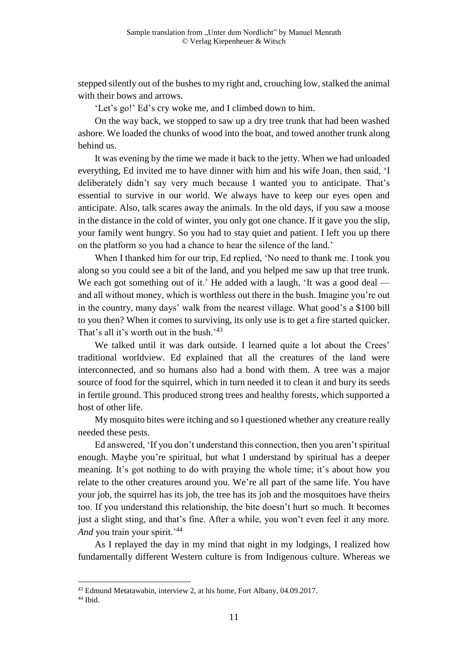stepped silently out of the bushes to my right and, crouching low, stalked the animal with their bows and arrows.

'Let's go!' Ed's cry woke me, and I climbed down to him.

On the way back, we stopped to saw up a dry tree trunk that had been washed ashore. We loaded the chunks of wood into the boat, and towed another trunk along behind us.

It was evening by the time we made it back to the jetty. When we had unloaded everything, Ed invited me to have dinner with him and his wife Joan, then said, 'I deliberately didn't say very much because I wanted you to anticipate. That's essential to survive in our world. We always have to keep our eyes open and anticipate. Also, talk scares away the animals. In the old days, if you saw a moose in the distance in the cold of winter, you only got one chance. If it gave you the slip, your family went hungry. So you had to stay quiet and patient. I left you up there on the platform so you had a chance to hear the silence of the land.'

When I thanked him for our trip, Ed replied, 'No need to thank me. I took you along so you could see a bit of the land, and you helped me saw up that tree trunk. We each got something out of it.' He added with a laugh, 'It was a good deal and all without money, which is worthless out there in the bush. Imagine you're out in the country, many days' walk from the nearest village. What good's a \$100 bill to you then? When it comes to surviving, its only use is to get a fire started quicker. That's all it's worth out in the bush.'43

We talked until it was dark outside. I learned quite a lot about the Crees' traditional worldview. Ed explained that all the creatures of the land were interconnected, and so humans also had a bond with them. A tree was a major source of food for the squirrel, which in turn needed it to clean it and bury its seeds in fertile ground. This produced strong trees and healthy forests, which supported a host of other life.

My mosquito bites were itching and so I questioned whether any creature really needed these pests.

Ed answered, 'If you don't understand this connection, then you aren't spiritual enough. Maybe you're spiritual, but what I understand by spiritual has a deeper meaning. It's got nothing to do with praying the whole time; it's about how you relate to the other creatures around you. We're all part of the same life. You have your job, the squirrel has its job, the tree has its job and the mosquitoes have theirs too. If you understand this relationship, the bite doesn't hurt so much. It becomes just a slight sting, and that's fine. After a while, you won't even feel it any more. And you train your spirit.<sup>'44</sup>

As I replayed the day in my mind that night in my lodgings, I realized how fundamentally different Western culture is from Indigenous culture. Whereas we

<sup>43</sup> Edmund Metatawabin, interview 2, at his home, Fort Albany, 04.09.2017.

<sup>44</sup> Ibid.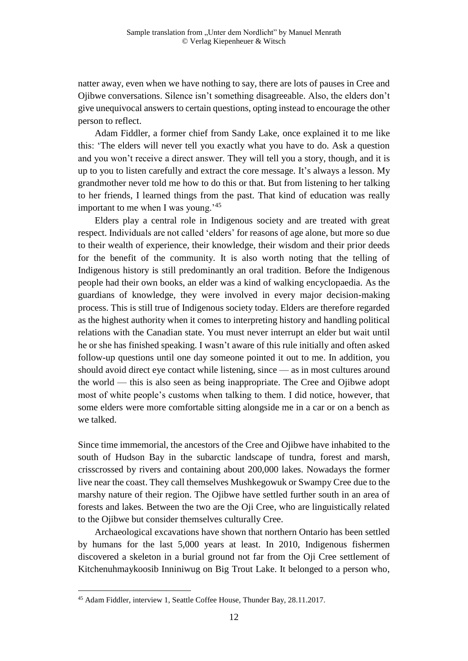natter away, even when we have nothing to say, there are lots of pauses in Cree and Ojibwe conversations. Silence isn't something disagreeable. Also, the elders don't give unequivocal answers to certain questions, opting instead to encourage the other person to reflect.

Adam Fiddler, a former chief from Sandy Lake, once explained it to me like this: 'The elders will never tell you exactly what you have to do. Ask a question and you won't receive a direct answer. They will tell you a story, though, and it is up to you to listen carefully and extract the core message. It's always a lesson. My grandmother never told me how to do this or that. But from listening to her talking to her friends, I learned things from the past. That kind of education was really important to me when I was young.<sup>'45</sup>

Elders play a central role in Indigenous society and are treated with great respect. Individuals are not called 'elders' for reasons of age alone, but more so due to their wealth of experience, their knowledge, their wisdom and their prior deeds for the benefit of the community. It is also worth noting that the telling of Indigenous history is still predominantly an oral tradition. Before the Indigenous people had their own books, an elder was a kind of walking encyclopaedia. As the guardians of knowledge, they were involved in every major decision-making process. This is still true of Indigenous society today. Elders are therefore regarded as the highest authority when it comes to interpreting history and handling political relations with the Canadian state. You must never interrupt an elder but wait until he or she has finished speaking. I wasn't aware of this rule initially and often asked follow-up questions until one day someone pointed it out to me. In addition, you should avoid direct eye contact while listening, since — as in most cultures around the world — this is also seen as being inappropriate. The Cree and Ojibwe adopt most of white people's customs when talking to them. I did notice, however, that some elders were more comfortable sitting alongside me in a car or on a bench as we talked.

Since time immemorial, the ancestors of the Cree and Ojibwe have inhabited to the south of Hudson Bay in the subarctic landscape of tundra, forest and marsh, crisscrossed by rivers and containing about 200,000 lakes. Nowadays the former live near the coast. They call themselves Mushkegowuk or Swampy Cree due to the marshy nature of their region. The Ojibwe have settled further south in an area of forests and lakes. Between the two are the Oji Cree, who are linguistically related to the Ojibwe but consider themselves culturally Cree.

Archaeological excavations have shown that northern Ontario has been settled by humans for the last 5,000 years at least. In 2010, Indigenous fishermen discovered a skeleton in a burial ground not far from the Oji Cree settlement of Kitchenuhmaykoosib Inniniwug on Big Trout Lake. It belonged to a person who,

<sup>45</sup> Adam Fiddler, interview 1, Seattle Coffee House, Thunder Bay, 28.11.2017.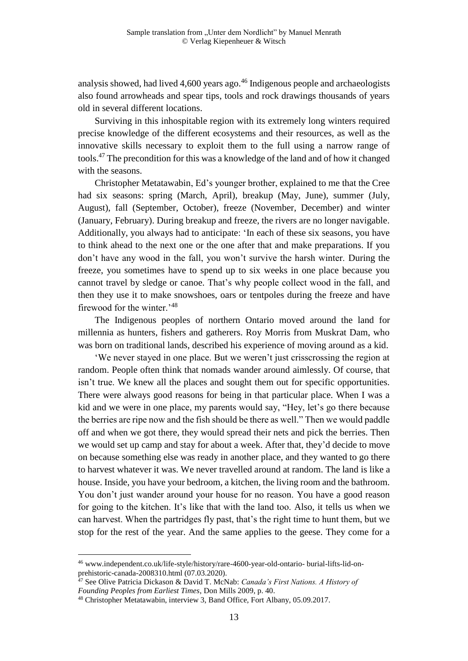analysis showed, had lived  $4,600$  years ago.<sup>46</sup> Indigenous people and archaeologists also found arrowheads and spear tips, tools and rock drawings thousands of years old in several different locations.

Surviving in this inhospitable region with its extremely long winters required precise knowledge of the different ecosystems and their resources, as well as the innovative skills necessary to exploit them to the full using a narrow range of tools.<sup>47</sup> The precondition for this was a knowledge of the land and of how it changed with the seasons.

Christopher Metatawabin, Ed's younger brother, explained to me that the Cree had six seasons: spring (March, April), breakup (May, June), summer (July, August), fall (September, October), freeze (November, December) and winter (January, February). During breakup and freeze, the rivers are no longer navigable. Additionally, you always had to anticipate: 'In each of these six seasons, you have to think ahead to the next one or the one after that and make preparations. If you don't have any wood in the fall, you won't survive the harsh winter. During the freeze, you sometimes have to spend up to six weeks in one place because you cannot travel by sledge or canoe. That's why people collect wood in the fall, and then they use it to make snowshoes, oars or tentpoles during the freeze and have firewood for the winter.'<sup>48</sup>

The Indigenous peoples of northern Ontario moved around the land for millennia as hunters, fishers and gatherers. Roy Morris from Muskrat Dam, who was born on traditional lands, described his experience of moving around as a kid.

'We never stayed in one place. But we weren't just crisscrossing the region at random. People often think that nomads wander around aimlessly. Of course, that isn't true. We knew all the places and sought them out for specific opportunities. There were always good reasons for being in that particular place. When I was a kid and we were in one place, my parents would say, "Hey, let's go there because the berries are ripe now and the fish should be there as well." Then we would paddle off and when we got there, they would spread their nets and pick the berries. Then we would set up camp and stay for about a week. After that, they'd decide to move on because something else was ready in another place, and they wanted to go there to harvest whatever it was. We never travelled around at random. The land is like a house. Inside, you have your bedroom, a kitchen, the living room and the bathroom. You don't just wander around your house for no reason. You have a good reason for going to the kitchen. It's like that with the land too. Also, it tells us when we can harvest. When the partridges fly past, that's the right time to hunt them, but we stop for the rest of the year. And the same applies to the geese. They come for a

<sup>46</sup> www.independent.co.uk/life-style/history/rare-4600-year-old-ontario- burial-lifts-lid-onprehistoric-canada-2008310.html (07.03.2020).

<sup>47</sup> See Olive Patricia Dickason & David T. McNab: *Canada's First Nations. A History of Founding Peoples from Earliest Times*, Don Mills 2009, p. 40.

<sup>48</sup> Christopher Metatawabin, interview 3, Band Office, Fort Albany, 05.09.2017.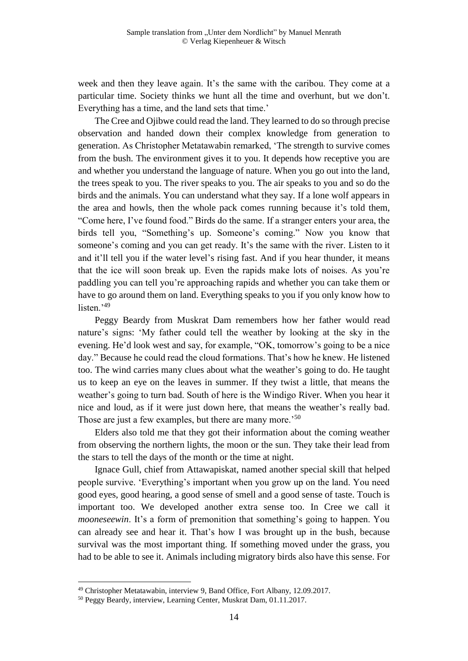week and then they leave again. It's the same with the caribou. They come at a particular time. Society thinks we hunt all the time and overhunt, but we don't. Everything has a time, and the land sets that time.'

The Cree and Ojibwe could read the land. They learned to do so through precise observation and handed down their complex knowledge from generation to generation. As Christopher Metatawabin remarked, 'The strength to survive comes from the bush. The environment gives it to you. It depends how receptive you are and whether you understand the language of nature. When you go out into the land, the trees speak to you. The river speaks to you. The air speaks to you and so do the birds and the animals. You can understand what they say. If a lone wolf appears in the area and howls, then the whole pack comes running because it's told them, "Come here, I've found food." Birds do the same. If a stranger enters your area, the birds tell you, "Something's up. Someone's coming." Now you know that someone's coming and you can get ready. It's the same with the river. Listen to it and it'll tell you if the water level's rising fast. And if you hear thunder, it means that the ice will soon break up. Even the rapids make lots of noises. As you're paddling you can tell you're approaching rapids and whether you can take them or have to go around them on land. Everything speaks to you if you only know how to listen.<sup>'49</sup>

Peggy Beardy from Muskrat Dam remembers how her father would read nature's signs: 'My father could tell the weather by looking at the sky in the evening. He'd look west and say, for example, "OK, tomorrow's going to be a nice day." Because he could read the cloud formations. That's how he knew. He listened too. The wind carries many clues about what the weather's going to do. He taught us to keep an eye on the leaves in summer. If they twist a little, that means the weather's going to turn bad. South of here is the Windigo River. When you hear it nice and loud, as if it were just down here, that means the weather's really bad. Those are just a few examples, but there are many more.<sup>50</sup>

Elders also told me that they got their information about the coming weather from observing the northern lights, the moon or the sun. They take their lead from the stars to tell the days of the month or the time at night.

Ignace Gull, chief from Attawapiskat, named another special skill that helped people survive. 'Everything's important when you grow up on the land. You need good eyes, good hearing, a good sense of smell and a good sense of taste. Touch is important too. We developed another extra sense too. In Cree we call it *mooneseewin*. It's a form of premonition that something's going to happen. You can already see and hear it. That's how I was brought up in the bush, because survival was the most important thing. If something moved under the grass, you had to be able to see it. Animals including migratory birds also have this sense. For

<sup>49</sup> Christopher Metatawabin, interview 9, Band Office, Fort Albany, 12.09.2017.

<sup>50</sup> Peggy Beardy, interview, Learning Center, Muskrat Dam, 01.11.2017.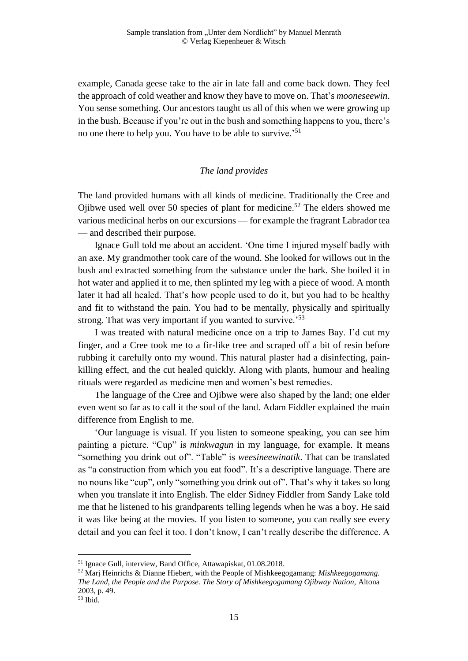example, Canada geese take to the air in late fall and come back down. They feel the approach of cold weather and know they have to move on. That's *mooneseewin*. You sense something. Our ancestors taught us all of this when we were growing up in the bush. Because if you're out in the bush and something happens to you, there's no one there to help you. You have to be able to survive.'<sup>51</sup>

### *The land provides*

The land provided humans with all kinds of medicine. Traditionally the Cree and Ojibwe used well over 50 species of plant for medicine.<sup>52</sup> The elders showed me various medicinal herbs on our excursions — for example the fragrant Labrador tea — and described their purpose.

Ignace Gull told me about an accident. 'One time I injured myself badly with an axe. My grandmother took care of the wound. She looked for willows out in the bush and extracted something from the substance under the bark. She boiled it in hot water and applied it to me, then splinted my leg with a piece of wood. A month later it had all healed. That's how people used to do it, but you had to be healthy and fit to withstand the pain. You had to be mentally, physically and spiritually strong. That was very important if you wanted to survive.<sup>53</sup>

I was treated with natural medicine once on a trip to James Bay. I'd cut my finger, and a Cree took me to a fir-like tree and scraped off a bit of resin before rubbing it carefully onto my wound. This natural plaster had a disinfecting, painkilling effect, and the cut healed quickly. Along with plants, humour and healing rituals were regarded as medicine men and women's best remedies.

The language of the Cree and Ojibwe were also shaped by the land; one elder even went so far as to call it the soul of the land. Adam Fiddler explained the main difference from English to me.

'Our language is visual. If you listen to someone speaking, you can see him painting a picture. "Cup" is *minkwagun* in my language, for example. It means "something you drink out of". "Table" is *weesineewinatik*. That can be translated as "a construction from which you eat food". It's a descriptive language. There are no nouns like "cup", only "something you drink out of". That's why it takes so long when you translate it into English. The elder Sidney Fiddler from Sandy Lake told me that he listened to his grandparents telling legends when he was a boy. He said it was like being at the movies. If you listen to someone, you can really see every detail and you can feel it too. I don't know, I can't really describe the difference. A

<sup>51</sup> Ignace Gull, interview, Band Office, Attawapiskat, 01.08.2018.

<sup>52</sup> Marj Heinrichs & Dianne Hiebert, with the People of Mishkeegogamang: *Mishkeegogamang. The Land, the People and the Purpose. The Story of Mishkeegogamang Ojibway Nation,* Altona 2003, p. 49.

 $53$  Ibid.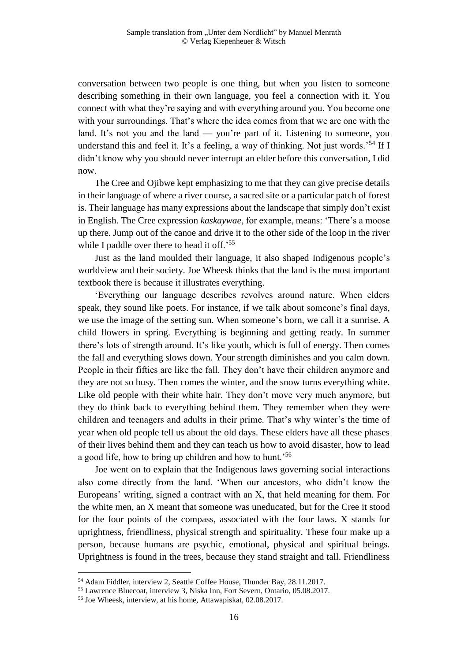conversation between two people is one thing, but when you listen to someone describing something in their own language, you feel a connection with it. You connect with what they're saying and with everything around you. You become one with your surroundings. That's where the idea comes from that we are one with the land. It's not you and the land — you're part of it. Listening to someone, you understand this and feel it. It's a feeling, a way of thinking. Not just words.<sup>54</sup> If I didn't know why you should never interrupt an elder before this conversation, I did now.

The Cree and Ojibwe kept emphasizing to me that they can give precise details in their language of where a river course, a sacred site or a particular patch of forest is. Their language has many expressions about the landscape that simply don't exist in English. The Cree expression *kaskaywae*, for example, means: 'There's a moose up there. Jump out of the canoe and drive it to the other side of the loop in the river while I paddle over there to head it off.<sup>55</sup>

Just as the land moulded their language, it also shaped Indigenous people's worldview and their society. Joe Wheesk thinks that the land is the most important textbook there is because it illustrates everything.

'Everything our language describes revolves around nature. When elders speak, they sound like poets. For instance, if we talk about someone's final days, we use the image of the setting sun. When someone's born, we call it a sunrise. A child flowers in spring. Everything is beginning and getting ready. In summer there's lots of strength around. It's like youth, which is full of energy. Then comes the fall and everything slows down. Your strength diminishes and you calm down. People in their fifties are like the fall. They don't have their children anymore and they are not so busy. Then comes the winter, and the snow turns everything white. Like old people with their white hair. They don't move very much anymore, but they do think back to everything behind them. They remember when they were children and teenagers and adults in their prime. That's why winter's the time of year when old people tell us about the old days. These elders have all these phases of their lives behind them and they can teach us how to avoid disaster, how to lead a good life, how to bring up children and how to hunt.<sup>56</sup>

Joe went on to explain that the Indigenous laws governing social interactions also come directly from the land. 'When our ancestors, who didn't know the Europeans' writing, signed a contract with an X, that held meaning for them. For the white men, an X meant that someone was uneducated, but for the Cree it stood for the four points of the compass, associated with the four laws. X stands for uprightness, friendliness, physical strength and spirituality. These four make up a person, because humans are psychic, emotional, physical and spiritual beings. Uprightness is found in the trees, because they stand straight and tall. Friendliness

<sup>54</sup> Adam Fiddler, interview 2, Seattle Coffee House, Thunder Bay, 28.11.2017.

<sup>55</sup> Lawrence Bluecoat, interview 3, Niska Inn, Fort Severn, Ontario, 05.08.2017.

<sup>56</sup> Joe Wheesk, interview, at his home, Attawapiskat, 02.08.2017.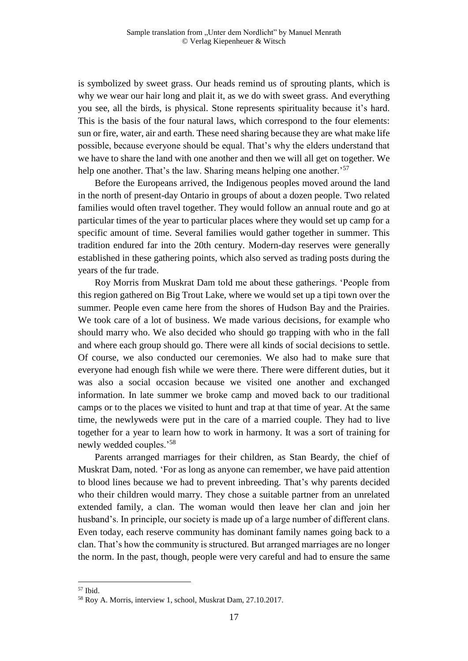is symbolized by sweet grass. Our heads remind us of sprouting plants, which is why we wear our hair long and plait it, as we do with sweet grass. And everything you see, all the birds, is physical. Stone represents spirituality because it's hard. This is the basis of the four natural laws, which correspond to the four elements: sun or fire, water, air and earth. These need sharing because they are what make life possible, because everyone should be equal. That's why the elders understand that we have to share the land with one another and then we will all get on together. We help one another. That's the law. Sharing means helping one another.<sup>57</sup>

Before the Europeans arrived, the Indigenous peoples moved around the land in the north of present-day Ontario in groups of about a dozen people. Two related families would often travel together. They would follow an annual route and go at particular times of the year to particular places where they would set up camp for a specific amount of time. Several families would gather together in summer. This tradition endured far into the 20th century. Modern-day reserves were generally established in these gathering points, which also served as trading posts during the years of the fur trade.

Roy Morris from Muskrat Dam told me about these gatherings. 'People from this region gathered on Big Trout Lake, where we would set up a tipi town over the summer. People even came here from the shores of Hudson Bay and the Prairies. We took care of a lot of business. We made various decisions, for example who should marry who. We also decided who should go trapping with who in the fall and where each group should go. There were all kinds of social decisions to settle. Of course, we also conducted our ceremonies. We also had to make sure that everyone had enough fish while we were there. There were different duties, but it was also a social occasion because we visited one another and exchanged information. In late summer we broke camp and moved back to our traditional camps or to the places we visited to hunt and trap at that time of year. At the same time, the newlyweds were put in the care of a married couple. They had to live together for a year to learn how to work in harmony. It was a sort of training for newly wedded couples.'<sup>58</sup>

Parents arranged marriages for their children, as Stan Beardy, the chief of Muskrat Dam, noted. 'For as long as anyone can remember, we have paid attention to blood lines because we had to prevent inbreeding. That's why parents decided who their children would marry. They chose a suitable partner from an unrelated extended family, a clan. The woman would then leave her clan and join her husband's. In principle, our society is made up of a large number of different clans. Even today, each reserve community has dominant family names going back to a clan. That's how the community is structured. But arranged marriages are no longer the norm. In the past, though, people were very careful and had to ensure the same

<sup>57</sup> Ibid.

<sup>58</sup> Roy A. Morris, interview 1, school, Muskrat Dam, 27.10.2017.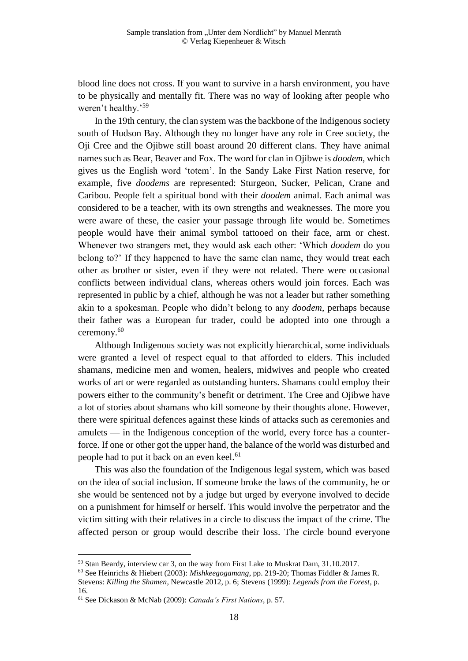blood line does not cross. If you want to survive in a harsh environment, you have to be physically and mentally fit. There was no way of looking after people who weren't healthy.'<sup>59</sup>

In the 19th century, the clan system was the backbone of the Indigenous society south of Hudson Bay. Although they no longer have any role in Cree society, the Oji Cree and the Ojibwe still boast around 20 different clans. They have animal names such as Bear, Beaver and Fox. The word for clan in Ojibwe is *doodem*, which gives us the English word 'totem'. In the Sandy Lake First Nation reserve, for example, five *doodems* are represented: Sturgeon, Sucker, Pelican, Crane and Caribou. People felt a spiritual bond with their *doodem* animal. Each animal was considered to be a teacher, with its own strengths and weaknesses. The more you were aware of these, the easier your passage through life would be. Sometimes people would have their animal symbol tattooed on their face, arm or chest. Whenever two strangers met, they would ask each other: 'Which *doodem* do you belong to?' If they happened to have the same clan name, they would treat each other as brother or sister, even if they were not related. There were occasional conflicts between individual clans, whereas others would join forces. Each was represented in public by a chief, although he was not a leader but rather something akin to a spokesman. People who didn't belong to any *doodem*, perhaps because their father was a European fur trader, could be adopted into one through a ceremony.<sup>60</sup>

Although Indigenous society was not explicitly hierarchical, some individuals were granted a level of respect equal to that afforded to elders. This included shamans, medicine men and women, healers, midwives and people who created works of art or were regarded as outstanding hunters. Shamans could employ their powers either to the community's benefit or detriment. The Cree and Ojibwe have a lot of stories about shamans who kill someone by their thoughts alone. However, there were spiritual defences against these kinds of attacks such as ceremonies and amulets — in the Indigenous conception of the world, every force has a counterforce. If one or other got the upper hand, the balance of the world was disturbed and people had to put it back on an even keel.<sup>61</sup>

This was also the foundation of the Indigenous legal system, which was based on the idea of social inclusion. If someone broke the laws of the community, he or she would be sentenced not by a judge but urged by everyone involved to decide on a punishment for himself or herself. This would involve the perpetrator and the victim sitting with their relatives in a circle to discuss the impact of the crime. The affected person or group would describe their loss. The circle bound everyone

<sup>59</sup> Stan Beardy, interview car 3, on the way from First Lake to Muskrat Dam, 31.10.2017.

<sup>60</sup> See Heinrichs & Hiebert (2003): *Mishkeegogamang*, pp. 219-20; Thomas Fiddler & James R. Stevens: *Killing the Shamen*, Newcastle 2012, p. 6; Stevens (1999): *Legends from the Forest*, p. 16.

<sup>61</sup> See Dickason & McNab (2009): *Canada's First Nations*, p. 57.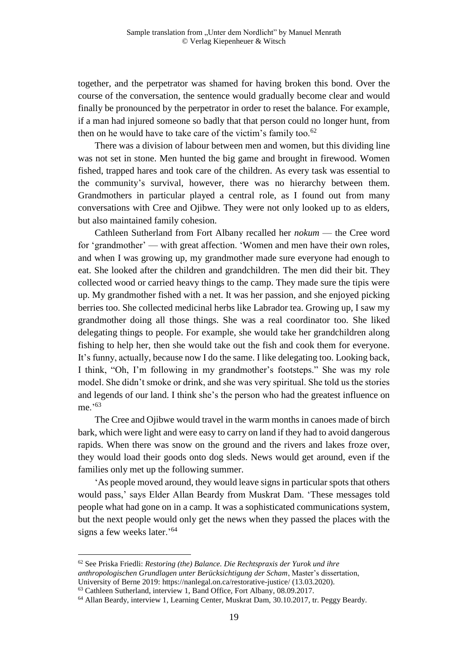together, and the perpetrator was shamed for having broken this bond. Over the course of the conversation, the sentence would gradually become clear and would finally be pronounced by the perpetrator in order to reset the balance. For example, if a man had injured someone so badly that that person could no longer hunt, from then on he would have to take care of the victim's family too. $62$ 

There was a division of labour between men and women, but this dividing line was not set in stone. Men hunted the big game and brought in firewood. Women fished, trapped hares and took care of the children. As every task was essential to the community's survival, however, there was no hierarchy between them. Grandmothers in particular played a central role, as I found out from many conversations with Cree and Ojibwe. They were not only looked up to as elders, but also maintained family cohesion.

Cathleen Sutherland from Fort Albany recalled her *nokum* — the Cree word for 'grandmother' — with great affection. 'Women and men have their own roles, and when I was growing up, my grandmother made sure everyone had enough to eat. She looked after the children and grandchildren. The men did their bit. They collected wood or carried heavy things to the camp. They made sure the tipis were up. My grandmother fished with a net. It was her passion, and she enjoyed picking berries too. She collected medicinal herbs like Labrador tea. Growing up, I saw my grandmother doing all those things. She was a real coordinator too. She liked delegating things to people. For example, she would take her grandchildren along fishing to help her, then she would take out the fish and cook them for everyone. It's funny, actually, because now I do the same. I like delegating too. Looking back, I think, "Oh, I'm following in my grandmother's footsteps." She was my role model. She didn't smoke or drink, and she was very spiritual. She told us the stories and legends of our land. I think she's the person who had the greatest influence on me.'<sup>63</sup>

The Cree and Ojibwe would travel in the warm months in canoes made of birch bark, which were light and were easy to carry on land if they had to avoid dangerous rapids. When there was snow on the ground and the rivers and lakes froze over, they would load their goods onto dog sleds. News would get around, even if the families only met up the following summer.

'As people moved around, they would leave signs in particular spots that others would pass,' says Elder Allan Beardy from Muskrat Dam. 'These messages told people what had gone on in a camp. It was a sophisticated communications system, but the next people would only get the news when they passed the places with the signs a few weeks later.'<sup>64</sup>

<sup>62</sup> See Priska Friedli: *Restoring (the) Balance. Die Rechtspraxis der Yurok und ihre anthropologischen Grundlagen unter Berücksichtigung der Scham*, Master's dissertation, University of Berne 2019: https://nanlegal.on.ca/restorative-justice/ (13.03.2020).

<sup>63</sup> Cathleen Sutherland, interview 1, Band Office, Fort Albany, 08.09.2017.

<sup>64</sup> Allan Beardy, interview 1, Learning Center, Muskrat Dam, 30.10.2017, tr. Peggy Beardy.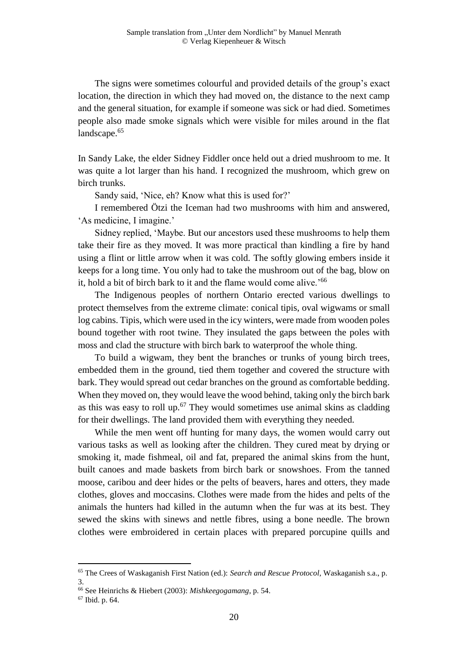The signs were sometimes colourful and provided details of the group's exact location, the direction in which they had moved on, the distance to the next camp and the general situation, for example if someone was sick or had died. Sometimes people also made smoke signals which were visible for miles around in the flat landscape.<sup>65</sup>

In Sandy Lake, the elder Sidney Fiddler once held out a dried mushroom to me. It was quite a lot larger than his hand. I recognized the mushroom, which grew on birch trunks.

Sandy said, 'Nice, eh? Know what this is used for?'

I remembered Ötzi the Iceman had two mushrooms with him and answered, 'As medicine, I imagine.'

Sidney replied, 'Maybe. But our ancestors used these mushrooms to help them take their fire as they moved. It was more practical than kindling a fire by hand using a flint or little arrow when it was cold. The softly glowing embers inside it keeps for a long time. You only had to take the mushroom out of the bag, blow on it, hold a bit of birch bark to it and the flame would come alive.'<sup>66</sup>

The Indigenous peoples of northern Ontario erected various dwellings to protect themselves from the extreme climate: conical tipis, oval wigwams or small log cabins. Tipis, which were used in the icy winters, were made from wooden poles bound together with root twine. They insulated the gaps between the poles with moss and clad the structure with birch bark to waterproof the whole thing.

To build a wigwam, they bent the branches or trunks of young birch trees, embedded them in the ground, tied them together and covered the structure with bark. They would spread out cedar branches on the ground as comfortable bedding. When they moved on, they would leave the wood behind, taking only the birch bark as this was easy to roll up.<sup>67</sup> They would sometimes use animal skins as cladding for their dwellings. The land provided them with everything they needed.

While the men went off hunting for many days, the women would carry out various tasks as well as looking after the children. They cured meat by drying or smoking it, made fishmeal, oil and fat, prepared the animal skins from the hunt, built canoes and made baskets from birch bark or snowshoes. From the tanned moose, caribou and deer hides or the pelts of beavers, hares and otters, they made clothes, gloves and moccasins. Clothes were made from the hides and pelts of the animals the hunters had killed in the autumn when the fur was at its best. They sewed the skins with sinews and nettle fibres, using a bone needle. The brown clothes were embroidered in certain places with prepared porcupine quills and

<sup>65</sup> The Crees of Waskaganish First Nation (ed.): *Search and Rescue Protocol*, Waskaganish s.a., p. 3.

<sup>66</sup> See Heinrichs & Hiebert (2003): *Mishkeegogamang*, p. 54.

<sup>67</sup> Ibid. p. 64.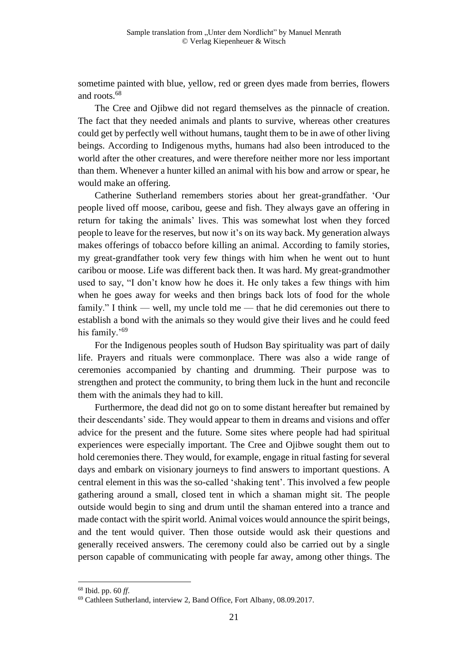sometime painted with blue, yellow, red or green dyes made from berries, flowers and roots.<sup>68</sup>

The Cree and Ojibwe did not regard themselves as the pinnacle of creation. The fact that they needed animals and plants to survive, whereas other creatures could get by perfectly well without humans, taught them to be in awe of other living beings. According to Indigenous myths, humans had also been introduced to the world after the other creatures, and were therefore neither more nor less important than them. Whenever a hunter killed an animal with his bow and arrow or spear, he would make an offering.

Catherine Sutherland remembers stories about her great-grandfather. 'Our people lived off moose, caribou, geese and fish. They always gave an offering in return for taking the animals' lives. This was somewhat lost when they forced people to leave for the reserves, but now it's on its way back. My generation always makes offerings of tobacco before killing an animal. According to family stories, my great-grandfather took very few things with him when he went out to hunt caribou or moose. Life was different back then. It was hard. My great-grandmother used to say, "I don't know how he does it. He only takes a few things with him when he goes away for weeks and then brings back lots of food for the whole family." I think — well, my uncle told me — that he did ceremonies out there to establish a bond with the animals so they would give their lives and he could feed his family.'<sup>69</sup>

For the Indigenous peoples south of Hudson Bay spirituality was part of daily life. Prayers and rituals were commonplace. There was also a wide range of ceremonies accompanied by chanting and drumming. Their purpose was to strengthen and protect the community, to bring them luck in the hunt and reconcile them with the animals they had to kill.

Furthermore, the dead did not go on to some distant hereafter but remained by their descendants' side. They would appear to them in dreams and visions and offer advice for the present and the future. Some sites where people had had spiritual experiences were especially important. The Cree and Ojibwe sought them out to hold ceremonies there. They would, for example, engage in ritual fasting for several days and embark on visionary journeys to find answers to important questions. A central element in this was the so-called 'shaking tent'. This involved a few people gathering around a small, closed tent in which a shaman might sit. The people outside would begin to sing and drum until the shaman entered into a trance and made contact with the spirit world. Animal voices would announce the spirit beings, and the tent would quiver. Then those outside would ask their questions and generally received answers. The ceremony could also be carried out by a single person capable of communicating with people far away, among other things. The

<sup>68</sup> Ibid. pp. 60 *ff*.

<sup>69</sup> Cathleen Sutherland, interview 2, Band Office, Fort Albany, 08.09.2017.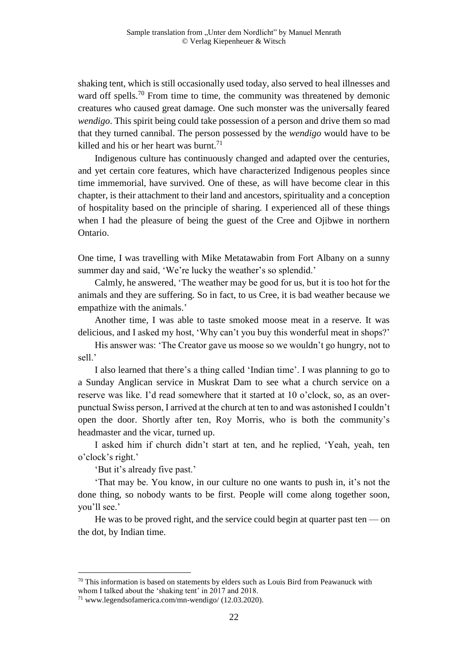shaking tent, which is still occasionally used today, also served to heal illnesses and ward off spells.<sup>70</sup> From time to time, the community was threatened by demonic creatures who caused great damage. One such monster was the universally feared *wendigo*. This spirit being could take possession of a person and drive them so mad that they turned cannibal. The person possessed by the *wendigo* would have to be killed and his or her heart was burnt.<sup>71</sup>

Indigenous culture has continuously changed and adapted over the centuries, and yet certain core features, which have characterized Indigenous peoples since time immemorial, have survived. One of these, as will have become clear in this chapter, is their attachment to their land and ancestors, spirituality and a conception of hospitality based on the principle of sharing. I experienced all of these things when I had the pleasure of being the guest of the Cree and Ojibwe in northern Ontario.

One time, I was travelling with Mike Metatawabin from Fort Albany on a sunny summer day and said, 'We're lucky the weather's so splendid.'

Calmly, he answered, 'The weather may be good for us, but it is too hot for the animals and they are suffering. So in fact, to us Cree, it is bad weather because we empathize with the animals.'

Another time, I was able to taste smoked moose meat in a reserve. It was delicious, and I asked my host, 'Why can't you buy this wonderful meat in shops?'

His answer was: 'The Creator gave us moose so we wouldn't go hungry, not to sell.'

I also learned that there's a thing called 'Indian time'. I was planning to go to a Sunday Anglican service in Muskrat Dam to see what a church service on a reserve was like. I'd read somewhere that it started at 10 o'clock, so, as an overpunctual Swiss person, I arrived at the church at ten to and was astonished I couldn't open the door. Shortly after ten, Roy Morris, who is both the community's headmaster and the vicar, turned up.

I asked him if church didn't start at ten, and he replied, 'Yeah, yeah, ten o'clock's right.'

'But it's already five past.'

i<br>L

'That may be. You know, in our culture no one wants to push in, it's not the done thing, so nobody wants to be first. People will come along together soon, you'll see.'

He was to be proved right, and the service could begin at quarter past ten — on the dot, by Indian time.

 $70$  This information is based on statements by elders such as Louis Bird from Peawanuck with whom I talked about the 'shaking tent' in 2017 and 2018.

<sup>71</sup> www.legendsofamerica.com/mn-wendigo/ (12.03.2020).